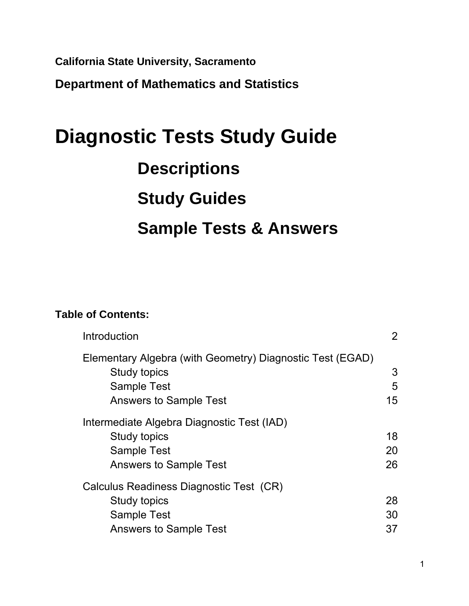**California State University, Sacramento** 

**Department of Mathematics and Statistics** 

# **Diagnostic Tests Study Guide Descriptions Study Guides Sample Tests & Answers**

## **Table of Contents:**

| Introduction                                                                                                          | $\overline{2}$ |
|-----------------------------------------------------------------------------------------------------------------------|----------------|
| Elementary Algebra (with Geometry) Diagnostic Test (EGAD)<br>Study topics<br><b>Sample Test</b>                       | 3<br>5         |
| <b>Answers to Sample Test</b><br>Intermediate Algebra Diagnostic Test (IAD)                                           | 15             |
| Study topics<br><b>Sample Test</b><br><b>Answers to Sample Test</b>                                                   | 18<br>20<br>26 |
| Calculus Readiness Diagnostic Test (CR)<br><b>Study topics</b><br><b>Sample Test</b><br><b>Answers to Sample Test</b> | 28<br>30<br>37 |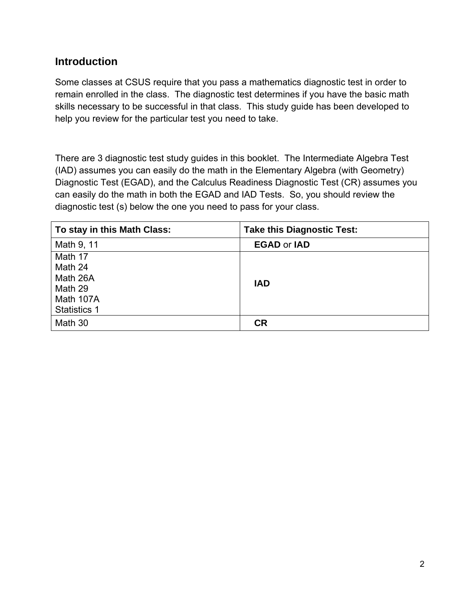## **Introduction**

Some classes at CSUS require that you pass a mathematics diagnostic test in order to remain enrolled in the class. The diagnostic test determines if you have the basic math skills necessary to be successful in that class. This study guide has been developed to help you review for the particular test you need to take.

There are 3 diagnostic test study guides in this booklet. The Intermediate Algebra Test (IAD) assumes you can easily do the math in the Elementary Algebra (with Geometry) Diagnostic Test (EGAD), and the Calculus Readiness Diagnostic Test (CR) assumes you can easily do the math in both the EGAD and IAD Tests. So, you should review the diagnostic test (s) below the one you need to pass for your class.

| To stay in this Math Class:                                                   | <b>Take this Diagnostic Test:</b> |
|-------------------------------------------------------------------------------|-----------------------------------|
| Math 9, 11                                                                    | <b>EGAD or IAD</b>                |
| Math 17<br>Math 24<br>Math 26A<br>Math 29<br>Math 107A<br><b>Statistics 1</b> | <b>IAD</b>                        |
| Math 30                                                                       | <b>CR</b>                         |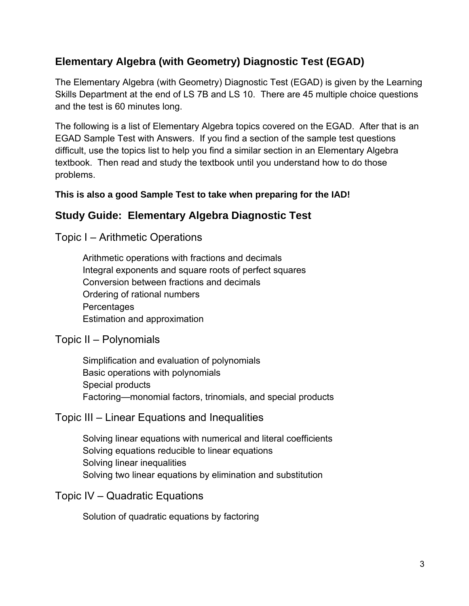# **Elementary Algebra (with Geometry) Diagnostic Test (EGAD)**

The Elementary Algebra (with Geometry) Diagnostic Test (EGAD) is given by the Learning Skills Department at the end of LS 7B and LS 10. There are 45 multiple choice questions and the test is 60 minutes long.

The following is a list of Elementary Algebra topics covered on the EGAD. After that is an EGAD Sample Test with Answers. If you find a section of the sample test questions difficult, use the topics list to help you find a similar section in an Elementary Algebra textbook. Then read and study the textbook until you understand how to do those problems.

#### **This is also a good Sample Test to take when preparing for the IAD!**

# **Study Guide: Elementary Algebra Diagnostic Test**

Topic I – Arithmetic Operations

Arithmetic operations with fractions and decimals Integral exponents and square roots of perfect squares Conversion between fractions and decimals Ordering of rational numbers **Percentages** Estimation and approximation

## Topic II – Polynomials

 Simplification and evaluation of polynomials Basic operations with polynomials Special products Factoring—monomial factors, trinomials, and special products

# Topic III – Linear Equations and Inequalities

 Solving linear equations with numerical and literal coefficients Solving equations reducible to linear equations Solving linear inequalities Solving two linear equations by elimination and substitution

Topic IV – Quadratic Equations

Solution of quadratic equations by factoring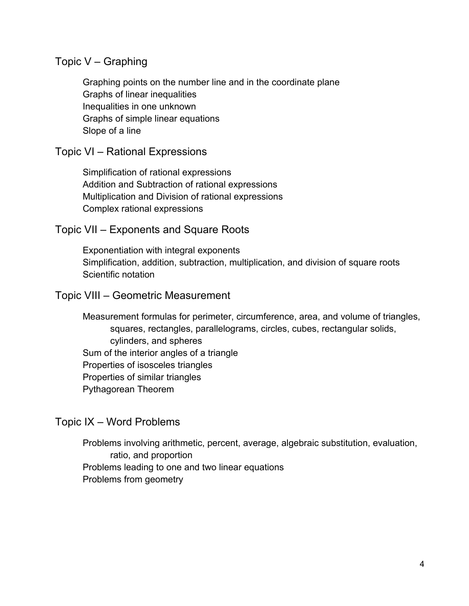#### Topic V – Graphing

Graphing points on the number line and in the coordinate plane Graphs of linear inequalities Inequalities in one unknown Graphs of simple linear equations Slope of a line

#### Topic VI – Rational Expressions

 Simplification of rational expressions Addition and Subtraction of rational expressions Multiplication and Division of rational expressions Complex rational expressions

#### Topic VII – Exponents and Square Roots

 Exponentiation with integral exponents Simplification, addition, subtraction, multiplication, and division of square roots Scientific notation

#### Topic VIII – Geometric Measurement

 Measurement formulas for perimeter, circumference, area, and volume of triangles, squares, rectangles, parallelograms, circles, cubes, rectangular solids, cylinders, and spheres Sum of the interior angles of a triangle Properties of isosceles triangles Properties of similar triangles Pythagorean Theorem

#### Topic IX – Word Problems

Problems involving arithmetic, percent, average, algebraic substitution, evaluation, ratio, and proportion Problems leading to one and two linear equations Problems from geometry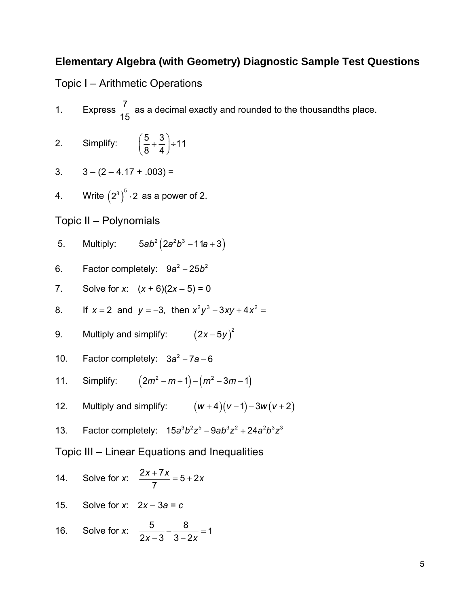## **Elementary Algebra (with Geometry) Diagnostic Sample Test Questions**

Topic I – Arithmetic Operations

- 1. Express  $\frac{7}{15}$  as a decimal exactly and rounded to the thousandths place.
- 2. Simplify:  $\left(\frac{5}{2} + \frac{3}{1}\right) \div 11$  $\left(\frac{5}{8} + \frac{3}{4}\right) \div$

$$
3. \qquad 3 - (2 - 4.17 + .003) =
$$

4. Write  $(2^3)^5 \cdot 2$  as a power of 2.

Topic II – Polynomials

- 5. Multiply:  $5ab^2(2a^2b^3 11a + 3)$
- 6. Factor completely: 9a<sup>2</sup> − 25b<sup>2</sup>
- 7. Solve for *x*:  $(x + 6)(2x 5) = 0$
- 8. If  $x = 2$  and  $y = -3$ , then  $x^2y^3 3xy + 4x^2 = 0$
- 9. Multiply and simplify:  $(2x-5y)^2$
- 10. Factor completely:  $3a^2 7a 6$
- 11. Simplify:  $(2m^2 m + 1) (m^2 3m 1)$
- 12. Multiply and simplify:  $(w+4)(v-1)-3w(v+2)$

13. Factor completely: 
$$
15a^3b^2z^5 - 9ab^3z^2 + 24a^2b^3z^3
$$

Topic III – Linear Equations and Inequalities

14. Solve for x: 
$$
\frac{2x + 7x}{7} = 5 + 2x
$$
  
15. Solve for x:  $2x - 3a = c$   
16. Solve for x:  $\frac{5}{2x - 3} - \frac{8}{3 - 2x} = 1$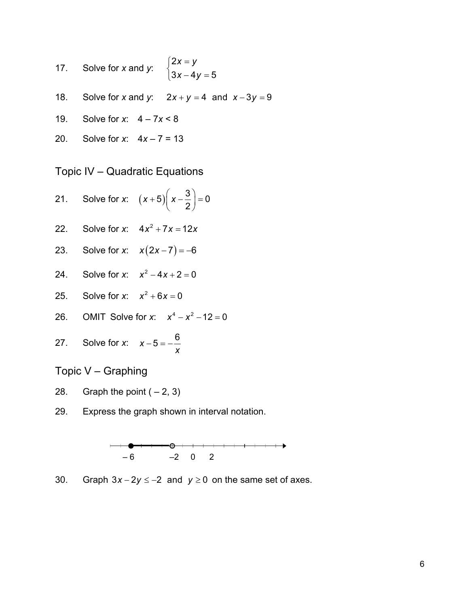- 5 17. Solve for *x* and *y*: 2  $3x - 4$  $x = y$  $\begin{cases} 2x = y \\ 3x - 4y \end{cases}$  $\left(3x-4y\right)$
- 18. Solve for *x* and *y*:  $2x + y = 4$  and  $x 3y = 9$
- 19. Solve for *x*: 4 7*x* < 8
- 20. Solve for *x*: 4*x* 7 = 13

Topic IV – Quadratic Equations

- 21. Solve for *x*:  $(x+5)$  $(x-\frac{3}{2})=0$  $(x+5)\left(x-\frac{3}{2}\right) =$
- 22. Solve for *x*:  $4x^2 + 7x = 12x$
- 23. Solve for *x*:  $x(2x-7) = -6$
- 24. Solve for *x*:  $x^2 4x + 2 = 0$
- 25. Solve for *x*:  $x^2 + 6x = 0$
- 26. OMIT Solve for *x*:  $x^4 x^2 12 = 0$
- 27. Solve for *x*:  $x 5 = -\frac{6}{x}$

Topic V – Graphing

- 28. Graph the point  $(-2, 3)$
- 29. Express the graph shown in interval notation.



30. Graph  $3x - 2y \le -2$  and  $y \ge 0$  on the same set of axes.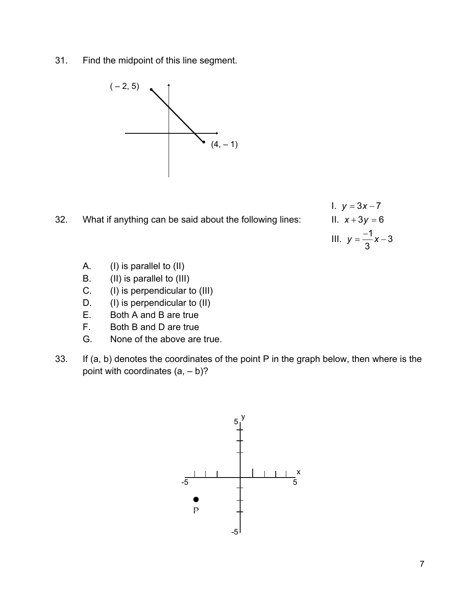31. Find the midpoint of this line segment.



32. What if anything can be said about the following lines:

 $1. y = 3x - 7$  $11. x + 3y = 6$ III.  $y = \frac{-1}{2}x - 3$ 3  $y = -\frac{1}{2}x -$ 

- A. (I) is parallel to (II)
- B. (II) is parallel to (III)
- C. (I) is perpendicular to (III)
- D. (I) is perpendicular to (II)
- E. Both A and B are true
- F. Both B and D are true
- G. None of the above are true.
- 33. If (a, b) denotes the coordinates of the point P in the graph below, then where is the point with coordinates  $(a, -b)$ ?

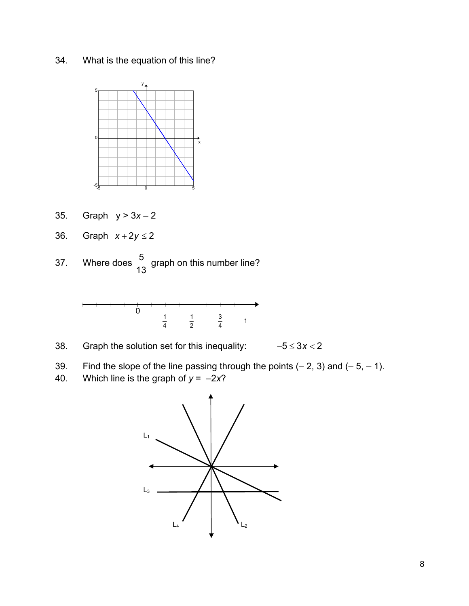34. What is the equation of this line?



- 35. Graph y > 3*x* 2
- 36. Graph  $x + 2y \le 2$
- 37. Where does  $\frac{5}{13}$  graph on this number line?



- 38. Graph the solution set for this inequality: −53 2 ≤ < *x*
- 39. Find the slope of the line passing through the points  $(-2, 3)$  and  $(-5, -1)$ .
- 40. Which line is the graph of  $y = -2x$ ?

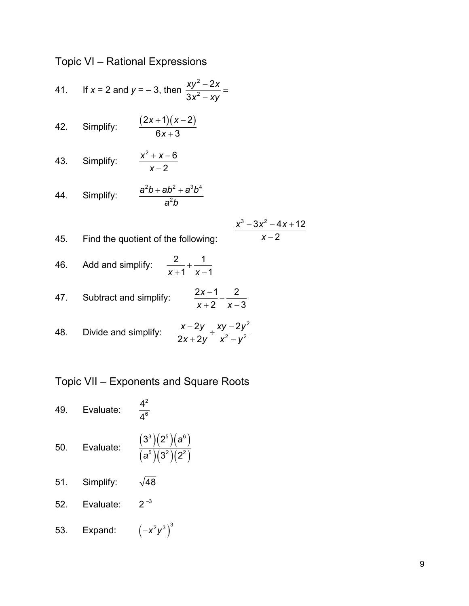Topic VI – Rational Expressions

41. If 
$$
x = 2
$$
 and  $y = -3$ , then 
$$
\frac{xy^2 - 2x}{3x^2 - xy} =
$$

- 42. Simplify:  $\frac{(2x+1)(x-2)}{2}$  $6x + 3$ *x* + 1)(*x x*  $+ 1) (x -$ +
- 43. Simplify:  $2^2 + x - 6$ 2  $x^2 + x$ *x*  $+ x -$ −

44. Simplify: 
$$
\frac{a^2b+ab^2+a^3b^4}{a^2b}
$$

$$
\frac{x^3-3x^2-4x+12}{x-2}
$$

46. Add and simplify:  $\frac{2}{1} + \frac{1}{2}$  $x + 1 \, x - 1$ +  $+1$  x –

45. Find the quotient of the following:

47. Subtract and simplify: 2  $x-3$ *x*  $\frac{2x-1}{x+2} - \frac{2}{x-1}$ 

48. Divide and simplify: 
$$
\frac{x-2y}{2x+2y} \div \frac{xy-2y^2}{x^2-y^2}
$$

Topic VII – Exponents and Square Roots

- 49. Evaluate: 2 6 4 4 50. Evaluate:  $\frac{(3^{\circ})(2^{\circ})(a^{\circ})}{(5)(a^{\circ})(a^{\circ})}$  $3^{3}$  )( 2
	- $(a^{\circ})(3^{\circ})(2^{\circ})$ 5م) ( 50) ( 3 ?? ) ( ?? ) ( 5  $3^2$  )(2 *a a*
- 51. Simplify:  $\sqrt{48}$
- 52. Evaluate:  $2^{-3}$
- 53. Expand:  $(-x^2y^3)^3$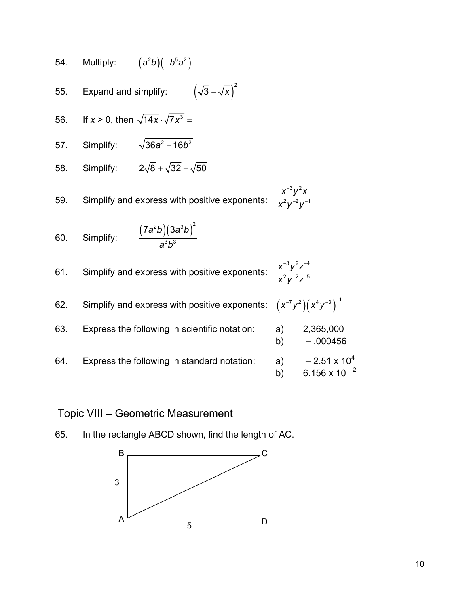54. Multiply: 
$$
(a^2b)(-b^5a^2)
$$

 $(\sqrt{3}-\sqrt{x})$ 2 55. Expand and simplify:

56. If 
$$
x > 0
$$
, then  $\sqrt{14x} \cdot \sqrt{7x^3} =$ 

- 57. Simplify:  $\sqrt{36a^2 + 16b^2}$
- 58. Simplify:  $2\sqrt{8} + \sqrt{32} \sqrt{50}$

59. Simplify and express with positive exponents:

60. Simplify: 
$$
\frac{(7a^2b)(3a^3b)^2}{a^3b^3}
$$

61. Simplify and express with positive exponents:

$$
\frac{x^{-3}y^2z^{-4}}{x^2y^{-2}z^{-5}}
$$

 $3, 2$  $2, -2, -1$ *x y x x y y*

−2, -−

−

| 62. | Simplify and express with positive exponents: $(x^{-7}y^2)(x^4y^{-3})^{-1}$ |          |                                                 |
|-----|-----------------------------------------------------------------------------|----------|-------------------------------------------------|
| 63. | Express the following in scientific notation:                               | a)<br>b) | 2,365,000<br>$-.000456$                         |
| 64. | Express the following in standard notation:                                 | a)<br>b) | $-2.51 \times 10^{4}$<br>$6.156 \times 10^{-2}$ |

## Topic VIII – Geometric Measurement



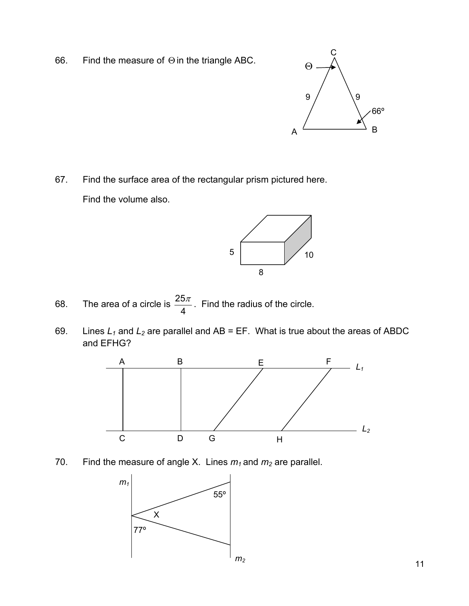66. Find the measure of Θ in the triangle ABC.



67. Find the surface area of the rectangular prism pictured here. Find the volume also.



- 68. The area of a circle is  $\frac{25}{4}$ 4  $\frac{\pi}{\pi}$ . Find the radius of the circle.
- 69. Lines  $L_1$  and  $L_2$  are parallel and AB = EF. What is true about the areas of ABDC and EFHG?



70. Find the measure of angle X. Lines  $m_1$  and  $m_2$  are parallel.

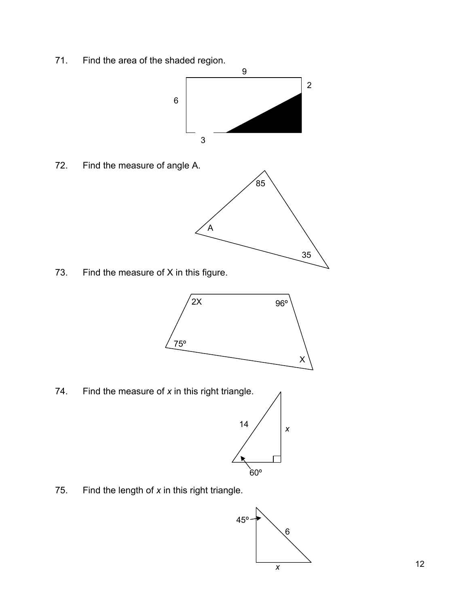71. Find the area of the shaded region.



72. Find the measure of angle A.



73. Find the measure of X in this figure.



74. Find the measure of *x* in this right triangle.



75. Find the length of *x* in this right triangle.

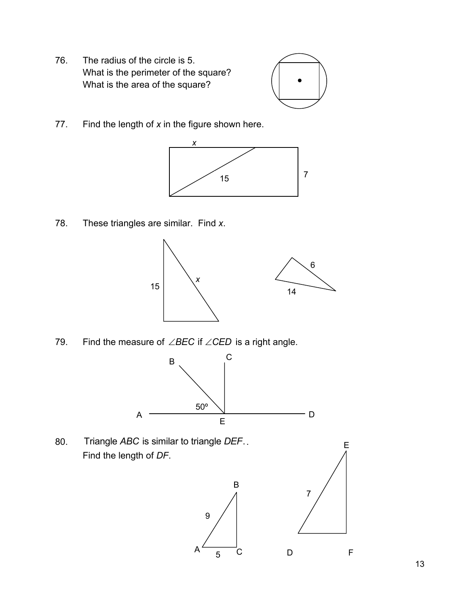76. The radius of the circle is 5. What is the perimeter of the square? What is the area of the square?



77. Find the length of *x* in the figure shown here.



78. These triangles are similar. Find *x*.



79. Find the measure of ∠BEC if ∠CED is a right angle.



9

80. Triangle *ABC* is similar to triangle *DEF*.. Find the length of *DF*.



E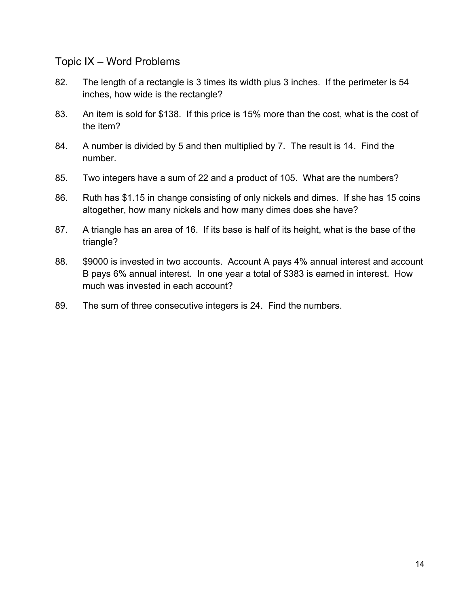#### Topic IX – Word Problems

- 82. The length of a rectangle is 3 times its width plus 3 inches. If the perimeter is 54 inches, how wide is the rectangle?
- 83. An item is sold for \$138. If this price is 15% more than the cost, what is the cost of the item?
- 84. A number is divided by 5 and then multiplied by 7. The result is 14. Find the number.
- 85. Two integers have a sum of 22 and a product of 105. What are the numbers?
- 86. Ruth has \$1.15 in change consisting of only nickels and dimes. If she has 15 coins altogether, how many nickels and how many dimes does she have?
- 87. A triangle has an area of 16. If its base is half of its height, what is the base of the triangle?
- 88. \$9000 is invested in two accounts. Account A pays 4% annual interest and account B pays 6% annual interest. In one year a total of \$383 is earned in interest. How much was invested in each account?
- 89. The sum of three consecutive integers is 24. Find the numbers.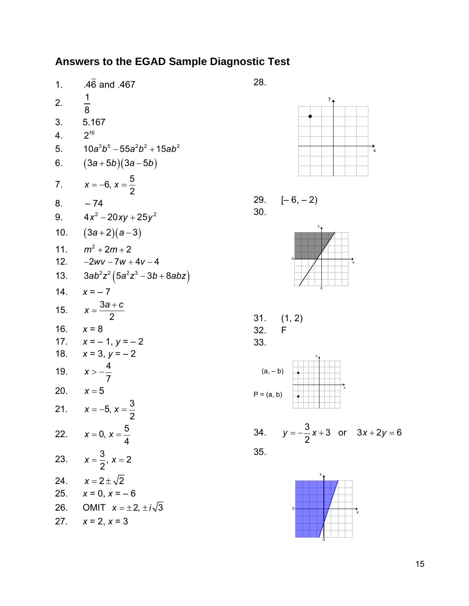# **Answers to the EGAD Sample Diagnostic Test**

| 1.  | .46 and .467                        |
|-----|-------------------------------------|
| 2.  | $\frac{1}{8}$                       |
| 3.  | 5.167                               |
| 4.  | $2^{16}$                            |
| 5.  | 10a $^3b^5-55$ a $^2b^2+15$ a $b^2$ |
| 6.  | $(3a+5b)(3a-5b)$                    |
| 7.  | $x = -6, x = \frac{5}{2}$           |
| 8.  | - 74                                |
| 9.  | $4x^2 - 20xy + 25y^2$               |
|     | 10. $(3a+2)(a-3)$                   |
|     | 11. $m^2 + 2m + 2$                  |
|     | 12. $-2wv - 7w + 4v - 4$            |
|     | 13. $3ab^2z^2(5a^2z^3-3b+8abz)$     |
| 14. | $x = -7$                            |
|     | 15. $x = \frac{3a + c}{2}$          |
|     | 16. $x = 8$                         |
|     | 17. $x = -1, y = -2$                |
|     | 18. $x = 3, y = -2$                 |
| 19. | $x > -\frac{4}{7}$                  |
|     | 20. $x = 5$                         |
|     | 21. $x = -5, x = \frac{3}{2}$       |
|     | 22. $x = 0, x = \frac{5}{4}$        |
|     | 23. $x = \frac{3}{2}, x = 2$        |
| 24. | $x = 2 \pm \sqrt{2}$                |
|     | 25. $x = 0, x = -6$                 |
| 26. | OMIT $x = \pm 2, \pm i\sqrt{3}$     |
|     | 27. $x = 2, x = 3$                  |



$$
29. \t[-6, -2)
$$
  
30.

28.



31. 
$$
(1, 2)
$$

\n32. F

\n33.



34. 
$$
y = -\frac{3}{2}x + 3
$$
 or  $3x + 2y = 6$   
35.

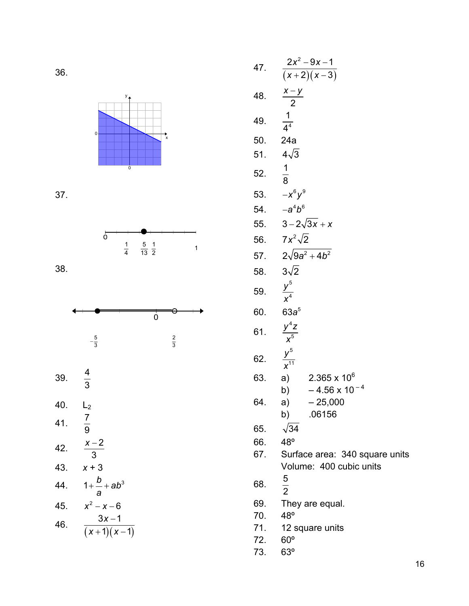

37.



$$
38.
$$



 $\frac{5}{3}$   $\frac{2}{3}$ 

- 39. <sup>4</sup>  $\frac{4}{3}$
- 40. L<sub>2</sub> 41.  $\frac{7}{9}$ 9 42.  $\frac{x-2}{2}$ 3 *x* − 43. *x* + 3 44.  $1 + \frac{b}{-} + ab^3$ *a*  $+$   $+$ 45.  $x^2 - x - 6$

46. 
$$
\frac{3x-1}{(x+1)(x-1)}
$$

47. 
$$
\frac{2x^2-9x-1}{(x+2)(x-3)}
$$
  
\n48. 
$$
\frac{x-y}{2}
$$
  
\n49. 
$$
\frac{1}{4^4}
$$
  
\n50. 24a  
\n51. 
$$
4\sqrt{3}
$$
  
\n52. 
$$
\frac{1}{8}
$$
  
\n53. 
$$
-x^6y^9
$$
  
\n54. 
$$
-a^4b^6
$$
  
\n55. 
$$
3-2\sqrt{3x}+x
$$
  
\n56. 
$$
7x^2\sqrt{2}
$$
  
\n57. 
$$
2\sqrt{9a^2+4b^2}
$$
  
\n58. 
$$
3\sqrt{2}
$$
  
\n59. 
$$
\frac{y^5}{x^4}
$$
  
\n60. 
$$
63a^5
$$
  
\n61. 
$$
\frac{y^4z}{x^5}
$$
  
\n62. 
$$
\frac{y^5}{x^{11}}
$$
  
\n63. a) 2.365 x 10<sup>6</sup>  
\nb) -4.56 x 10<sup>-4</sup>  
\n64. a) -25,000  
\nb) .06156  
\n65. 
$$
\sqrt{34}
$$
  
\n66. 48<sup>o</sup>  
\n67. Surface area: 340 square units  
\nVolume: 400 cubic units  
\n68. 
$$
\frac{5}{2}
$$
  
\n69. They are equal.  
\n70. 48<sup>o</sup>  
\n71. 12 square units

72. 60º

73. 63º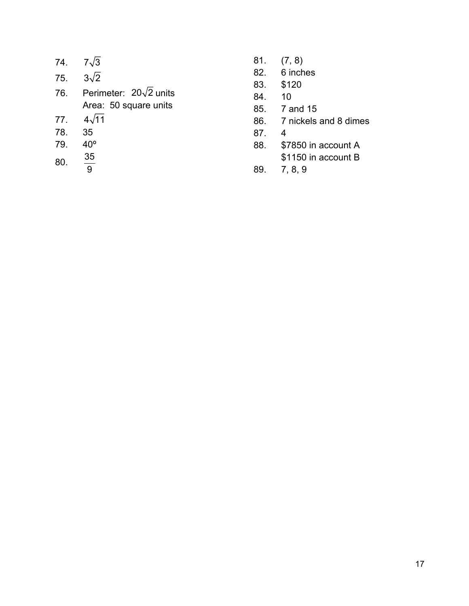| 74. | $7\sqrt{3}$                   |
|-----|-------------------------------|
| 75. | $3\sqrt{2}$                   |
| 76. | Perimeter: $20\sqrt{2}$ units |
|     | Area: 50 square units         |
| 77. | $4\sqrt{11}$                  |
| 78. | 35                            |
| 79. | 40°                           |
| 80. | 35<br>9                       |
|     |                               |

- 81. (7, 8)
- 82. 6 inches
- 83. \$120
- 84. 10
- 85. 7 and 15
- 86. 7 nickels and 8 dimes
- 87. 4
- 88. \$7850 in account A \$1150 in account B
- 89. 7, 8, 9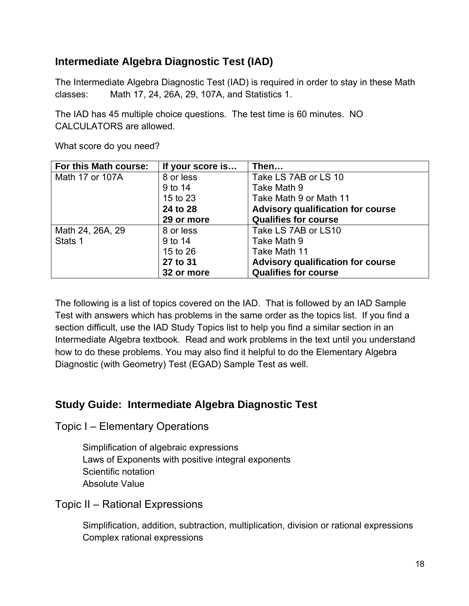# **Intermediate Algebra Diagnostic Test (IAD)**

The Intermediate Algebra Diagnostic Test (IAD) is required in order to stay in these Math classes: Math 17, 24, 26A, 29, 107A, and Statistics 1.

The IAD has 45 multiple choice questions. The test time is 60 minutes. NO CALCULATORS are allowed.

| For this Math course: | If your score is | Then                                     |
|-----------------------|------------------|------------------------------------------|
| Math 17 or 107A       | 8 or less        | Take LS 7AB or LS 10                     |
|                       | 9 to 14          | Take Math 9                              |
|                       | 15 to 23         | Take Math 9 or Math 11                   |
|                       | 24 to 28         | <b>Advisory qualification for course</b> |
|                       | 29 or more       | <b>Qualifies for course</b>              |
| Math 24, 26A, 29      | 8 or less        | Take LS 7AB or LS10                      |
| Stats 1               | 9 to 14          | Take Math 9                              |
|                       | 15 to 26         | Take Math 11                             |
|                       | 27 to 31         | Advisory qualification for course        |
|                       | 32 or more       | <b>Qualifies for course</b>              |

What score do you need?

The following is a list of topics covered on the IAD. That is followed by an IAD Sample Test with answers which has problems in the same order as the topics list. If you find a section difficult, use the IAD Study Topics list to help you find a similar section in an Intermediate Algebra textbook. Read and work problems in the text until you understand how to do these problems. You may also find it helpful to do the Elementary Algebra Diagnostic (with Geometry) Test (EGAD) Sample Test as well.

## **Study Guide: Intermediate Algebra Diagnostic Test**

Topic I – Elementary Operations

 Simplification of algebraic expressions Laws of Exponents with positive integral exponents Scientific notation Absolute Value

Topic II – Rational Expressions

 Simplification, addition, subtraction, multiplication, division or rational expressions Complex rational expressions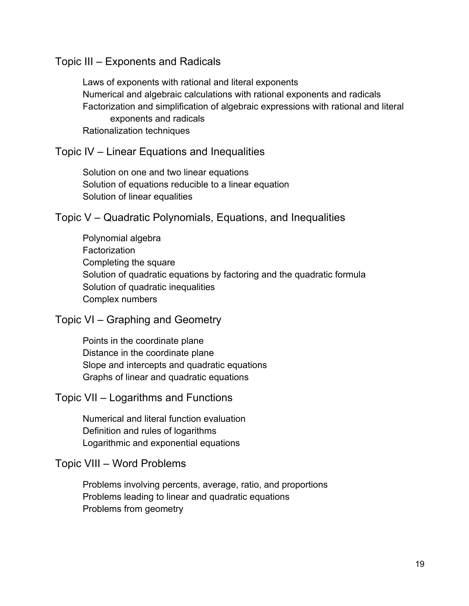#### Topic III – Exponents and Radicals

 Laws of exponents with rational and literal exponents Numerical and algebraic calculations with rational exponents and radicals Factorization and simplification of algebraic expressions with rational and literal exponents and radicals Rationalization techniques

#### Topic IV – Linear Equations and Inequalities

 Solution on one and two linear equations Solution of equations reducible to a linear equation Solution of linear equalities

#### Topic V – Quadratic Polynomials, Equations, and Inequalities

 Polynomial algebra **Factorization**  Completing the square Solution of quadratic equations by factoring and the quadratic formula Solution of quadratic inequalities Complex numbers

#### Topic VI – Graphing and Geometry

 Points in the coordinate plane Distance in the coordinate plane Slope and intercepts and quadratic equations Graphs of linear and quadratic equations

#### Topic VII – Logarithms and Functions

Numerical and literal function evaluation Definition and rules of logarithms Logarithmic and exponential equations

#### Topic VIII – Word Problems

Problems involving percents, average, ratio, and proportions Problems leading to linear and quadratic equations Problems from geometry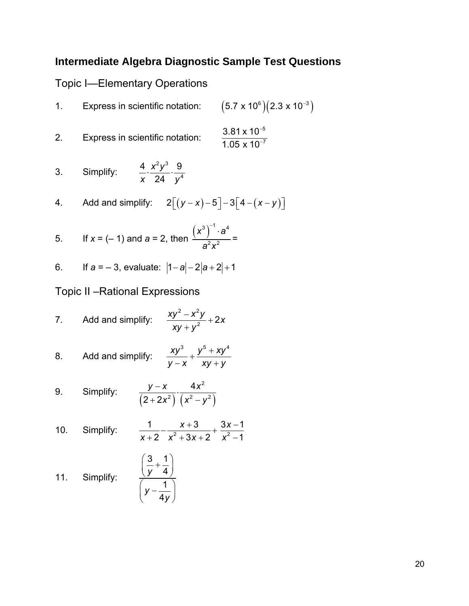# **Intermediate Algebra Diagnostic Sample Test Questions**

# Topic I—Elementary Operations

| $1_{\cdot}$                                                                  | Express in scientific notation:                                     | $(5.7 \times 10^{6})$ $(2.3 \times 10^{-3})$             |  |
|------------------------------------------------------------------------------|---------------------------------------------------------------------|----------------------------------------------------------|--|
| 2.                                                                           | Express in scientific notation:                                     | $3.81 \times 10^{-5}$<br>$\frac{1}{1.05 \times 10^{-7}}$ |  |
| 3.                                                                           | Simplify: $\frac{4}{x} \cdot \frac{x^2y^3}{24} \cdot \frac{9}{y^4}$ |                                                          |  |
|                                                                              | 4. Add and simplify: $2[(y-x)-5]-3[4-(x-y)]$                        |                                                          |  |
| 5. If $x = (-1)$ and $a = 2$ , then $\frac{(x^3)^{-1} \cdot a^4}{2^2 x^2} =$ |                                                                     |                                                          |  |
|                                                                              | 6. If $a = -3$ , evaluate: $ 1-a -2 a+2 +1$                         |                                                          |  |
|                                                                              | <b>Topic II – Rational Expressions</b>                              |                                                          |  |

7. Add and simplify:  $\frac{xy^2 - x^2y}{xy + y^2} + 2x$  $\frac{-x^2y}{2}$ + +

8. Add and simplify: 
$$
\frac{xy^3}{y-x} + \frac{y^5 + xy^4}{xy + y}
$$

9. Simplify: 
$$
\frac{y-x}{(2+2x^2)} \cdot \frac{4x^2}{(x^2-y^2)}
$$

10. Simplify: 
$$
\frac{1}{x+2} - \frac{x+3}{x^2+3x+2} + \frac{3x-1}{x^2-1}
$$

11. Simplify: 
$$
\frac{\left(\frac{3}{y} + \frac{1}{4}\right)}{\left(y - \frac{1}{4y}\right)}
$$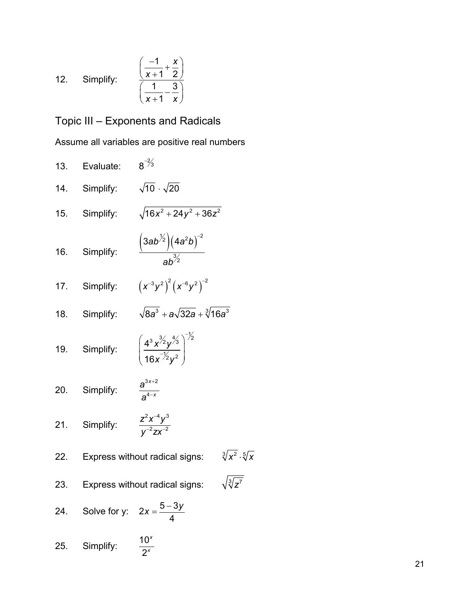12. Simplify: 
$$
\frac{\left(\frac{-1}{x+1} + \frac{x}{2}\right)}{\left(\frac{1}{x+1} - \frac{3}{x}\right)}
$$

# Topic III – Exponents and Radicals

Assume all variables are positive real numbers

| 13. | Evaluate:                                          | $8^{-2/3}$                                                       |                                   |
|-----|----------------------------------------------------|------------------------------------------------------------------|-----------------------------------|
|     | 14. Simplify: $\sqrt{10} \cdot \sqrt{20}$          |                                                                  |                                   |
|     | 15. Simplify:                                      | $\sqrt{16x^2+24y^2+36z^2}$                                       |                                   |
|     | 16. Simplify:                                      | $\frac{(3ab^{\frac{1}{2}})(4a^2b)^{-2}}{ab^{\frac{3}{2}}}$       |                                   |
|     |                                                    | 17. Simplify: $(x^{-3}y^2)^2(x^{-6}y^2)^{-2}$                    |                                   |
|     | 18. Simplify:                                      | $\sqrt{8a^3} + a\sqrt{32a} + \sqrt[3]{16a^3}$                    |                                   |
|     | 19. Simplify:                                      | $\left(\frac{4^3 x^{3/2} y^{4/3}}{16 x^{7/2} y^2}\right)^{-1/2}$ |                                   |
|     | 20. Simplify:                                      | $\frac{a^{3x+2}}{a^{4-x}}$                                       |                                   |
|     | 21. Simplify: $\frac{z^2x^{-4}y^3}{y^{-2}zx^{-2}}$ |                                                                  |                                   |
|     |                                                    | 22. Express without radical signs:                               | $\sqrt[3]{x^2} \cdot \sqrt[5]{x}$ |
|     |                                                    | 23. Express without radical signs:                               | $\sqrt{\sqrt[3]{z^7}}$            |
|     | 24. Solve for y: $2x = \frac{5 - 3y}{4}$           |                                                                  |                                   |
|     |                                                    |                                                                  |                                   |

25. Simplify: 
$$
\frac{10^x}{2^x}
$$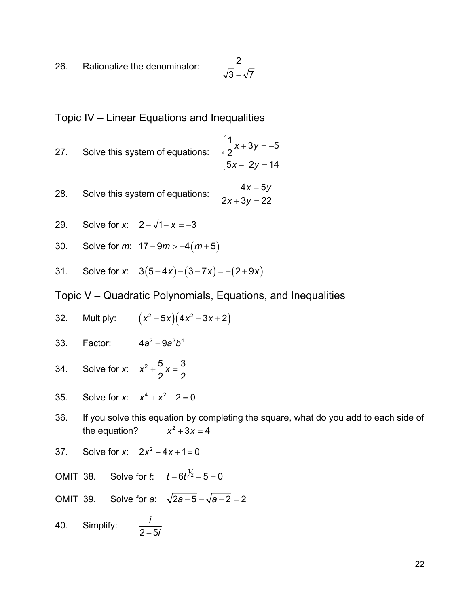26. Rationalize the denominator: <sup>2</sup>  $\frac{2}{\sqrt{3}-\sqrt{7}}$ 

Topic IV – Linear Equations and Inequalities

- 27. Solve this system of equations:  $\frac{1}{2}x + 3y = -5$ 2  $5x - 2y = 1$ *x* + 3*y x* – 2*y*  $\sqrt{2}$ 4  $\frac{1}{2}x + 3y = \begin{vmatrix} 5x - 2y \end{vmatrix}$
- 28. Solve this system of equations:  $2x + 3y = 22$ *x* = 5*y*
- 29. Solve for *x*:  $2 \sqrt{1 x} = -3$
- 30. Solve for  $m: 17 9m > -4(m+5)$
- 31. Solve for *x*:  $3(5-4x)-(3-7x)=-(2+9x)$

Topic V – Quadratic Polynomials, Equations, and Inequalities

- 32. Multiply:  $(x^2-5x)(4x^2-3x+2)$
- 33. Factor: 4a<sup>2</sup> − 9a<sup>2</sup>b<sup>4</sup>
- 34. Solve for *x*:  $x^2 + \frac{5}{2}x = \frac{3}{2}$  $2^{\degree}$  2  $x^2 + \frac{3}{2}x =$
- 35. Solve for *x*:  $x^4 + x^2 2 = 0$
- 36. If you solve this equation by completing the square, what do you add to each side of the equation?  $x^2 + 3x = 4$
- 37. Solve for *x*:  $2x^2 + 4x + 1 = 0$

OMIT 38. Solve for *t*:  $t - 6t^{\frac{1}{2}} + 5 = 0$ 

- OMIT 39. Solve for *a*:  $\sqrt{2a-5} \sqrt{a-2} = 2$
- 40. Simplify:  $\frac{i}{2-5}$ − *i*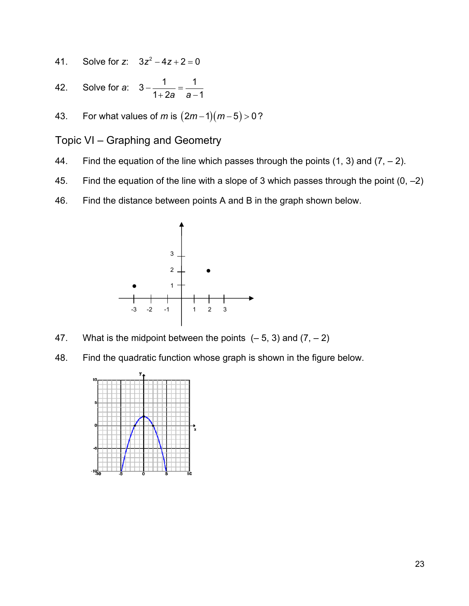- 41. Solve for *z*:  $3z^2 4z + 2 = 0$
- 42. Solve for *a*:  $3 \frac{1}{1 + 2a} = \frac{1}{a 1}$
- 43. For what values of *m* is  $(2m-1)(m-5) > 0$ ?
- Topic VI Graphing and Geometry
- 44. Find the equation of the line which passes through the points  $(1, 3)$  and  $(7, -2)$ .
- 45. Find the equation of the line with a slope of 3 which passes through the point  $(0, -2)$
- 46. Find the distance between points A and B in the graph shown below.



- 47. What is the midpoint between the points  $(-5, 3)$  and  $(7, -2)$
- 48. Find the quadratic function whose graph is shown in the figure below.

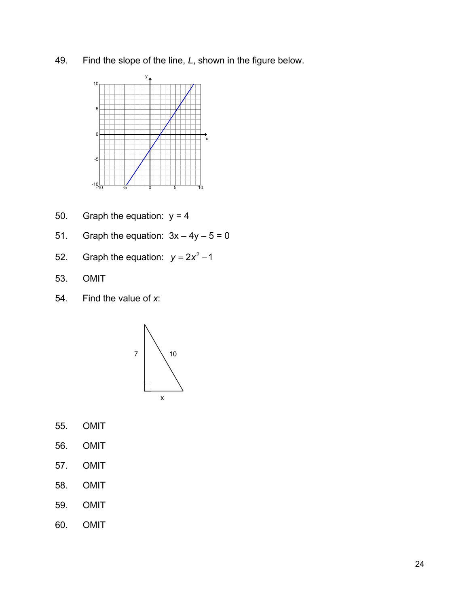49. Find the slope of the line, *L*, shown in the figure below.



- 50. Graph the equation:  $y = 4$
- 51. Graph the equation:  $3x 4y 5 = 0$
- 52. Graph the equation:  $y = 2x^2 1$
- 53. OMIT
- 54. Find the value of *x*:



- 55. OMIT
- 56. OMIT
- 57. OMIT
- 58. OMIT
- 59. OMIT
- 60. OMIT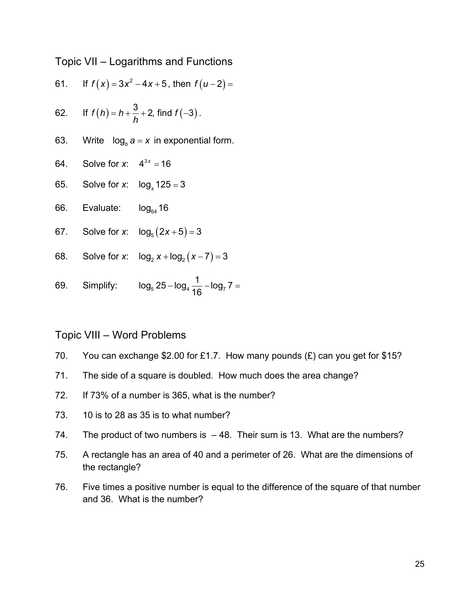Topic VII – Logarithms and Functions

61. If 
$$
f(x) = 3x^2 - 4x + 5
$$
, then  $f(u-2) =$ 

62. If 
$$
f(h) = h + \frac{3}{h} + 2
$$
, find  $f(-3)$ .

- 63. Write  $\log_b a = x$  in exponential form.
- 64. Solve for *x*:  $4^{3x} = 16$
- 65. Solve for *x*:  $log_x 125 = 3$
- 66. Evaluate:  $log_{64} 16$
- 67. Solve for *x*:  $log_5(2x+5) = 3$
- 68. Solve for *x*:  $log_2 x + log_2 (x 7) = 3$
- 69. Simplify:  $log_5 25 log_4 \frac{1}{16} log_7 7 =$

#### Topic VIII – Word Problems

- 70. You can exchange \$2.00 for £1.7. How many pounds  $(E)$  can you get for \$15?
- 71. The side of a square is doubled. How much does the area change?
- 72. If 73% of a number is 365, what is the number?
- 73. 10 is to 28 as 35 is to what number?
- 74. The product of two numbers is 48. Their sum is 13. What are the numbers?
- 75. A rectangle has an area of 40 and a perimeter of 26. What are the dimensions of the rectangle?
- 76. Five times a positive number is equal to the difference of the square of that number and 36. What is the number?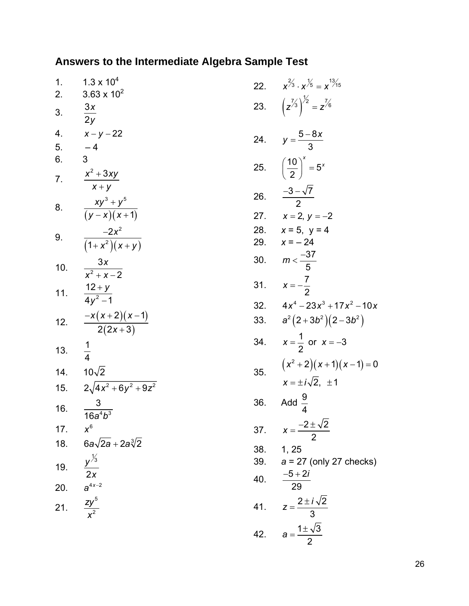# **Answers to the Intermediate Algebra Sample Test**

| 1.  | $1.3 \times 10^{4}$                    |
|-----|----------------------------------------|
| 2.  | $3.63 \times 10^{2}$                   |
| 3.  | 3x<br>$\overline{2y}$                  |
| 4.  | $x - y - 22$                           |
| 5.  | $-4$                                   |
| 6.  | 3                                      |
| 7.  | $x^2 + 3xy$<br>$X + Y$                 |
| 8.  | $xy^3 + y^5$<br>$\frac{1}{(y-x)(x+1)}$ |
| 9.  | $\frac{-2x^2}{(1+x^2)(x+y)}$           |
| 10. | $\frac{3x}{x^2 + x - 2}$               |
| 11. | $\frac{12+y}{4y^2-1}$                  |
| 12. | $\frac{-x(x+2)(x-1)}{2(2x+3)}$         |
| 13. | $\frac{1}{4}$                          |
| 14. | $10\sqrt{2}$                           |
| 15. | $2\sqrt{4x^2+6y^2+9z^2}$               |
| 16. | $\frac{3}{16a^4b^3}$                   |
| 17. | $x^6$                                  |
| 18. | 6a $\sqrt{2a}$ + 2a $\sqrt[3]{2}$      |
| 19. | $y^{\frac{1}{3}}$<br>$\overline{2x}$   |
| 20. | $a^{4x-2}$                             |
| 21. | $\frac{zy^5}{x^2}$                     |

| 22. | $x^{2/3} \cdot x^{1/5} = x^{13/15}$                  |
|-----|------------------------------------------------------|
| 23. | $(z^{7/3})^{7/2} = z^{7/6}$                          |
| 24. | $y = \frac{5-8x}{3}$                                 |
| 25. | $\left(\frac{10}{2}\right)^x = 5^x$                  |
| 26. | $\frac{-3-\sqrt{7}}{2}$                              |
| 27. | $x = 2, y = -2$                                      |
| 28. | $x = 5$ , $y = 4$                                    |
| 29. | $x = -24$                                            |
| 30. | $m < \frac{-37}{5}$                                  |
| 31. | $x = -\frac{7}{2}$                                   |
| 32. | $4x^4 - 23x^3 + 17x^2 - 10x$                         |
| 33. | $a^2(2+3b^2)(2-3b^2)$                                |
| 34. | $x = \frac{1}{2}$ or $x = -3$                        |
| 35. | $(x^2+2)(x+1)(x-1)=0$<br>$x = \pm i \sqrt{2}, \pm 1$ |
| 36. | Add $\frac{9}{4}$                                    |
| 37. | $x = \frac{-2 \pm \sqrt{2}}{2}$                      |
| 38. | 1, 25                                                |
| 39. | $a = 27$ (only 27 checks)                            |
| 40. | $\frac{-5+2i}{29}$                                   |
| 41. | $z = \frac{2 \pm i \sqrt{2}}{3}$                     |
| 42. | $a = \frac{1 \pm \sqrt{3}}{2}$                       |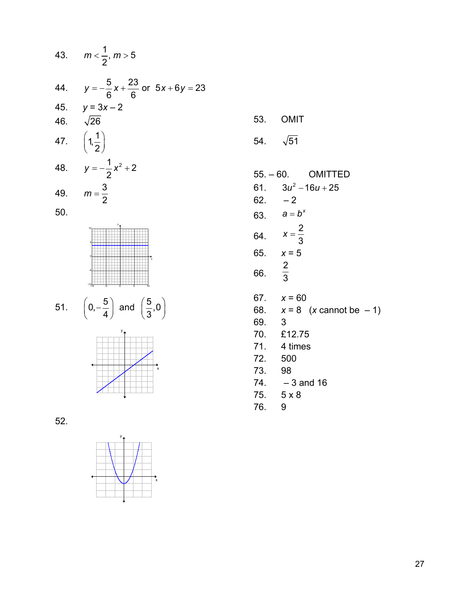







| 54. $\sqrt{51}$ |                                         |
|-----------------|-----------------------------------------|
|                 |                                         |
|                 | $55. - 60.$ OMITTED                     |
|                 | 61. $3u^2 - 16u + 25$                   |
| $62. -2$        |                                         |
|                 | 63. $a = b^x$                           |
|                 | 64. $x = \frac{2}{3}$                   |
|                 | 65. $x = 5$                             |
| 66.             | $rac{2}{3}$                             |
|                 | 67. $x = 60$                            |
|                 | 68. $x = 8$ ( <i>x</i> cannot be $-1$ ) |
| 69. 3           |                                         |
|                 | 70. £12.75                              |
|                 | 71. 4 times                             |

72. 500

53. OMIT

- 73. 98
- $74. -3$  and 16
- 75. 5 x 8
- 76. 9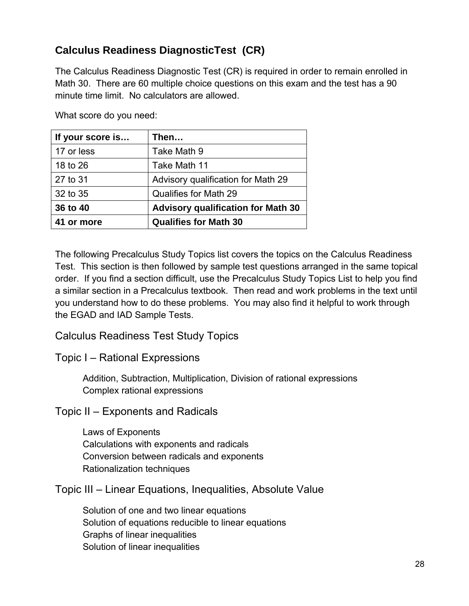# **Calculus Readiness DiagnosticTest (CR)**

The Calculus Readiness Diagnostic Test (CR) is required in order to remain enrolled in Math 30. There are 60 multiple choice questions on this exam and the test has a 90 minute time limit. No calculators are allowed.

What score do you need:

| If your score is | Then…                                     |
|------------------|-------------------------------------------|
| 17 or less       | Take Math 9                               |
| 18 to 26         | Take Math 11                              |
| 27 to 31         | Advisory qualification for Math 29        |
| 32 to 35         | Qualifies for Math 29                     |
| 36 to 40         | <b>Advisory qualification for Math 30</b> |
| 41 or more       | <b>Qualifies for Math 30</b>              |

The following Precalculus Study Topics list covers the topics on the Calculus Readiness Test. This section is then followed by sample test questions arranged in the same topical order. If you find a section difficult, use the Precalculus Study Topics List to help you find a similar section in a Precalculus textbook. Then read and work problems in the text until you understand how to do these problems. You may also find it helpful to work through the EGAD and IAD Sample Tests.

#### Calculus Readiness Test Study Topics

Topic I – Rational Expressions

 Addition, Subtraction, Multiplication, Division of rational expressions Complex rational expressions

Topic II – Exponents and Radicals

 Laws of Exponents Calculations with exponents and radicals Conversion between radicals and exponents Rationalization techniques

Topic III – Linear Equations, Inequalities, Absolute Value

 Solution of one and two linear equations Solution of equations reducible to linear equations Graphs of linear inequalities Solution of linear inequalities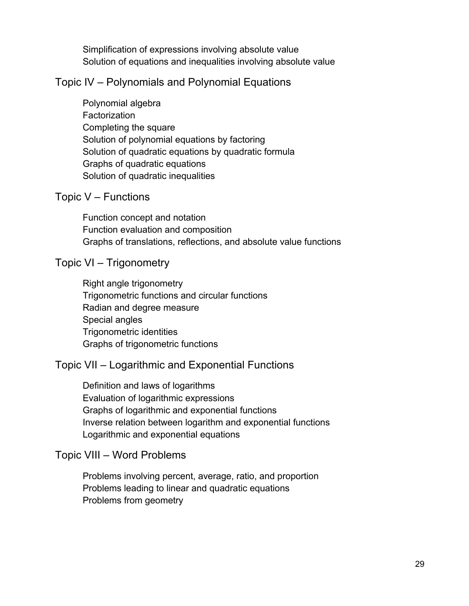Simplification of expressions involving absolute value Solution of equations and inequalities involving absolute value

#### Topic IV – Polynomials and Polynomial Equations

 Polynomial algebra **Factorization**  Completing the square Solution of polynomial equations by factoring Solution of quadratic equations by quadratic formula Graphs of quadratic equations Solution of quadratic inequalities

#### Topic V – Functions

 Function concept and notation Function evaluation and composition Graphs of translations, reflections, and absolute value functions

#### Topic VI – Trigonometry

 Right angle trigonometry Trigonometric functions and circular functions Radian and degree measure Special angles Trigonometric identities Graphs of trigonometric functions

## Topic VII – Logarithmic and Exponential Functions

 Definition and laws of logarithms Evaluation of logarithmic expressions Graphs of logarithmic and exponential functions Inverse relation between logarithm and exponential functions Logarithmic and exponential equations

#### Topic VIII – Word Problems

 Problems involving percent, average, ratio, and proportion Problems leading to linear and quadratic equations Problems from geometry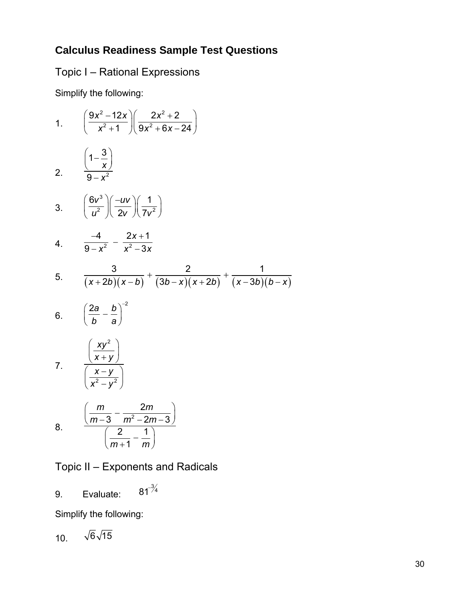# **Calculus Readiness Sample Test Questions**

Topic I – Rational Expressions

Simplify the following:

1. 
$$
\left(\frac{9x^2-12x}{x^2+1}\right)\left(\frac{2x^2+2}{9x^2+6x-24}\right)
$$

$$
2. \qquad \frac{\left(1-\frac{3}{x}\right)}{9-x^2}
$$

3. 
$$
\left(\frac{6v^3}{u^2}\right)\left(\frac{-uv}{2v}\right)\left(\frac{1}{7v^2}\right)
$$

4. 
$$
\frac{-4}{9-x^2} - \frac{2x+1}{x^2-3x}
$$

5. 
$$
\frac{3}{(x+2b)(x-b)} + \frac{2}{(3b-x)(x+2b)} + \frac{1}{(x-3b)(b-x)}
$$

$$
6. \qquad \left(\frac{2a}{b}-\frac{b}{a}\right)^{-2}
$$

$$
7. \frac{\left(\frac{xy^2}{x+y}\right)}{\left(\frac{x-y}{x^2-y^2}\right)}
$$

8. 
$$
\frac{\left(\frac{m}{m-3}-\frac{2m}{m^2-2m-3}\right)}{\left(\frac{2}{m+1}-\frac{1}{m}\right)}
$$

Topic II – Exponents and Radicals

9. Evaluate:  $81^{3/4}$ 

Simplify the following:

$$
10. \quad \sqrt{6}\sqrt{15}
$$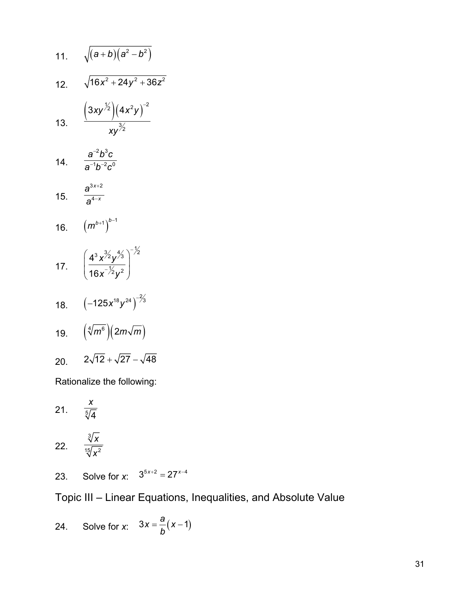11. 
$$
\sqrt{(a+b)(a^2-b^2)}
$$
  
\n12.  $\sqrt{16x^2 + 24y^2 + 36z^2}$   
\n13.  $\frac{(3xy^{\frac{1}{2}})(4x^2y)^{-2}}{xy^{\frac{3}{2}}}$   
\n14.  $\frac{a^{-2}b^3c}{a^{-1}b^{-2}c^0}$   
\n15.  $\frac{a^{3x+2}}{a^{4-x}}$   
\n16.  $(m^{b+1})^{b-1}$   
\n17.  $(\frac{4^3x^{\frac{3}{2}}y^{\frac{4}{3}}}{16x^{-\frac{1}{2}}y^2})^{-\frac{1}{2}}$   
\n18.  $(-125x^{18}y^{24})^{-\frac{2}{3}}$   
\n19.  $(\sqrt[4]{m^6})(2m\sqrt{m})$   
\n20.  $2\sqrt{12} + \sqrt{27} - \sqrt{48}$   
\nRationalize the following:

21.  $\frac{1}{\sqrt[5]{4}}$ *x*

$$
22. \qquad \frac{\sqrt[3]{x}}{\sqrt[15]{x^2}}
$$

23. Solve for *x*:  $3^{5x+2} = 27^{x-4}$ 

Topic III – Linear Equations, Inequalities, and Absolute Value

24. Solve for x: 
$$
3x = \frac{a}{b}(x-1)
$$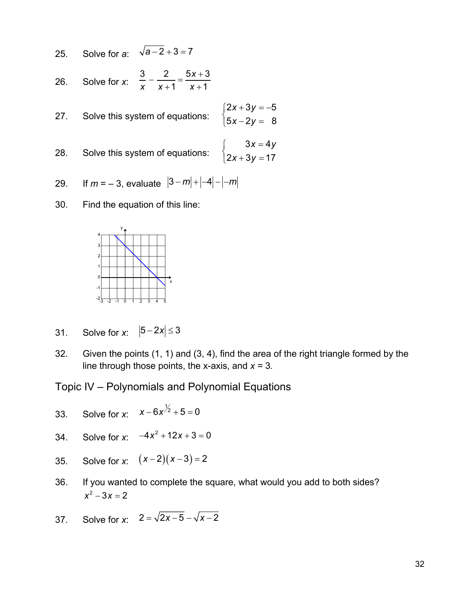25. Solve for **a**: 
$$
\sqrt{a-2} + 3 = 7
$$

26. Solve for x: 
$$
\frac{3}{x} - \frac{2}{x+1} = \frac{5x+3}{x+1}
$$

27. Solve this system of equations: 
$$
\begin{cases} 2x + 3y = -5 \\ 5x - 2y = 8 \end{cases}
$$

28. Solve this system of equations: 
$$
\begin{cases} 3x = 4y \\ 2x + 3y = 17 \end{cases}
$$

29. If 
$$
m = -3
$$
, evaluate  $|3-m|+|-4|-|m|$ 

30. Find the equation of this line:



- 31. Solve for *x*:  $|5-2x| \le 3$
- 32. Given the points (1, 1) and (3, 4), find the area of the right triangle formed by the line through those points, the x-axis, and *x =* 3*.*

Topic IV – Polynomials and Polynomial Equations

- 33. Solve for *x*:  $x - 6x^{\frac{1}{2}} + 5 = 0$
- 34. Solve for *x*:  $-4x^2 + 12x + 3 = 0$
- 35. Solve for *x*:  $(x-2)(x-3) = 2$
- 36. If you wanted to complete the square, what would you add to both sides?  $x^2 - 3x = 2$
- 37. Solve for *x*:  $2 = \sqrt{2x-5} \sqrt{x-2}$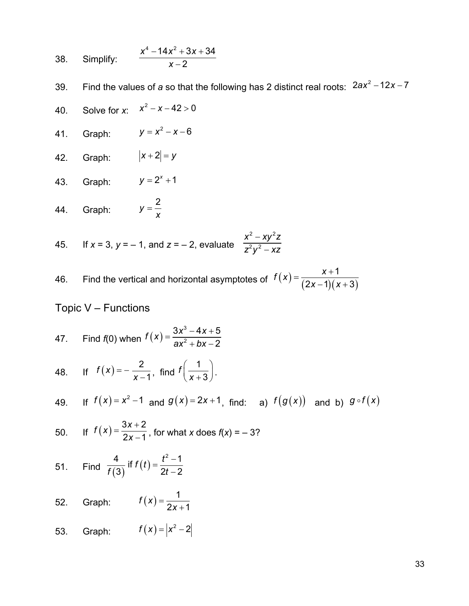38. Simplify: 
$$
\frac{x^4 - 14x^2 + 3x + 34}{x - 2}
$$

39. Find the values of *a* so that the following has 2 distinct real roots:  $2ax^2 - 12x - 7$ 

- 40. Solve for *x*:  $x^2 x 42 > 0$
- 41. Graph:  $y = x^2 x 6$
- 42. Graph:  $|x+2| = y$
- 43. Graph:  $y = 2^{x} + 1$
- 44. Graph:  $y = \frac{2}{x}$

45. If 
$$
x = 3
$$
,  $y = -1$ , and  $z = -2$ , evaluate 
$$
\frac{x^2 - xy^2z}{z^2y^2 - xz}
$$

46. Find the vertical and horizontal asymptotes of  $f(x) = \frac{x+1}{(2x-1)(x+3)}$ 1  $(2x-1)(x+3)$  $f(x) = \frac{x}{(x-1)^2}$  $=\frac{x+1}{(2x-1)(x+1)}$ 

# Topic V – Functions

47. Find f(0) when 
$$
f(x) = \frac{3x^3 - 4x + 5}{ax^2 + bx - 2}
$$

48. If 
$$
f(x) = -\frac{2}{x-1}
$$
, find  $f\left(\frac{1}{x+3}\right)$ .

49. If 
$$
f(x) = x^2 - 1
$$
 and  $g(x) = 2x + 1$ , find: a)  $f(g(x))$  and b)  $g \circ f(x)$ 

50. If 
$$
f(x) = \frac{3x+2}{2x-1}
$$
, for what x does  $f(x) = -3$ ?

51. Find 
$$
\frac{4}{f(3)}
$$
 if  $f(t) = \frac{t^2 - 1}{2t - 2}$ 

- 52. Graph:  $f(x) = \frac{1}{2x+1}$  $f(x) = \frac{1}{2x+1}$
- 53. Graph:  $f(x) = |x^2 2|$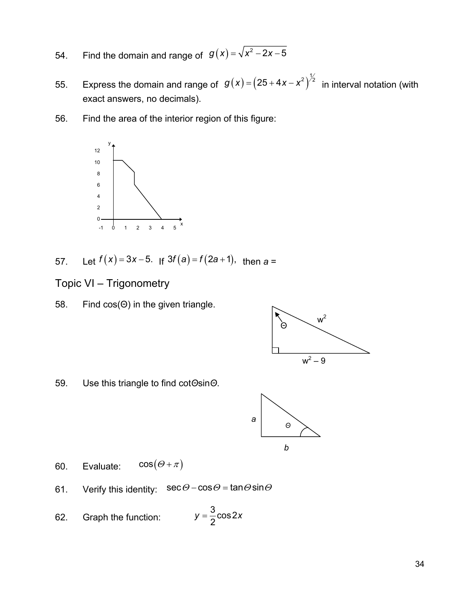- 54. Find the domain and range of  $g(x) = \sqrt{x^2 2x 5}$
- 55. Express the domain and range of  $g(x) = (25 + 4x x^2)^{\frac{1}{2}}$  in interval notation (with exact answers, no decimals).
- 56. Find the area of the interior region of this figure:



- 57. Let  $f(x) = 3x 5$ . If  $3f(a) = f(2a + 1)$ , then  $a =$
- Topic VI Trigonometry
- 58. Find cos(Θ) in the given triangle.



59. Use this triangle to find cot*Θ*sin*Θ*.



- 60. Evaluate:  $\cos(\Theta + \pi)$
- 61. Verify this identity:  $\sec \theta \cos \theta = \tan \theta \sin \theta$
- 62. Graph the function:  $y = \frac{3}{2}\cos 2x$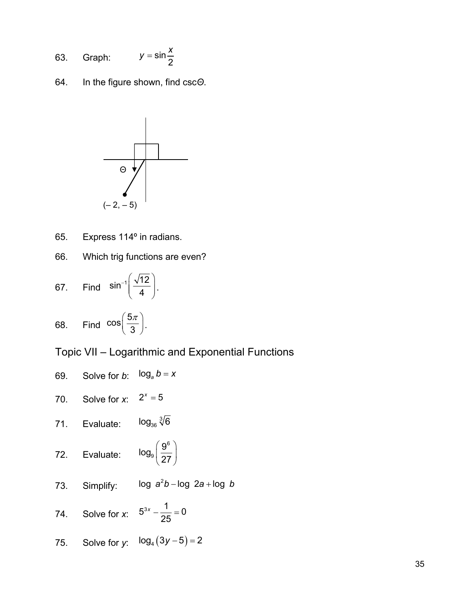63. Graph: 
$$
y = \sin \frac{x}{2}
$$

64. In the figure shown, find csc*Θ*.



65. Express 114º in radians.

66. Which trig functions are even?

67. Find 
$$
\sin^{-1} \left( \frac{\sqrt{12}}{4} \right)
$$
.

68. Find 
$$
\cos\left(\frac{5\pi}{3}\right)
$$
.

Topic VII – Logarithmic and Exponential Functions

69. Solve for *b*: 
$$
\log_a b = x
$$
  
\n70. Solve for *x*:  $2^x = 5$   
\n71. Evaluate:  $\log_{36} \sqrt[3]{6}$   
\n72. Evaluate:  $\log_9 \left(\frac{9^6}{27}\right)$   
\n73. Simplify:  $\log a^2 b - \log 2a + \log b$   
\n74. Solve for *x*:  $5^{3x} - \frac{1}{25} = 0$   
\n75. Solve for *y*:  $\log_4 (3y - 5) = 2$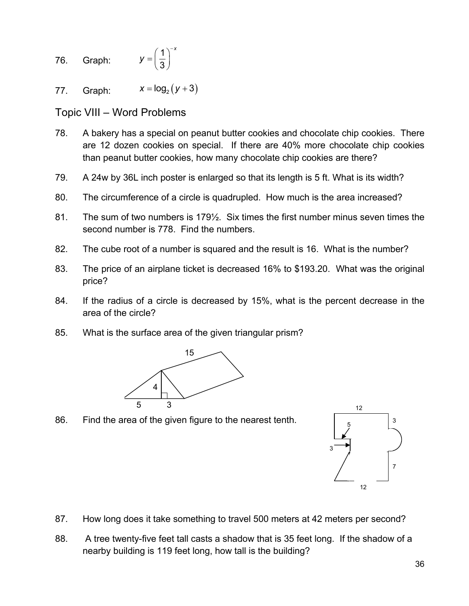- 76. Graph: 1 3 *x y*  $=\left(\frac{1}{3}\right)^{-}$
- 77. Graph:  $x = \log_2(y+3)$

Topic VIII – Word Problems

- 78. A bakery has a special on peanut butter cookies and chocolate chip cookies. There are 12 dozen cookies on special. If there are 40% more chocolate chip cookies than peanut butter cookies, how many chocolate chip cookies are there?
- 79. A 24w by 36L inch poster is enlarged so that its length is 5 ft. What is its width?
- 80. The circumference of a circle is quadrupled. How much is the area increased?
- 81. The sum of two numbers is 179½. Six times the first number minus seven times the second number is 778. Find the numbers.
- 82. The cube root of a number is squared and the result is 16. What is the number?
- 83. The price of an airplane ticket is decreased 16% to \$193.20. What was the original price?
- 84. If the radius of a circle is decreased by 15%, what is the percent decrease in the area of the circle?
- 85. What is the surface area of the given triangular prism?



5 86. Find the area of the given figure to the nearest tenth.



- 87. How long does it take something to travel 500 meters at 42 meters per second?
- 88. A tree twenty-five feet tall casts a shadow that is 35 feet long. If the shadow of a nearby building is 119 feet long, how tall is the building?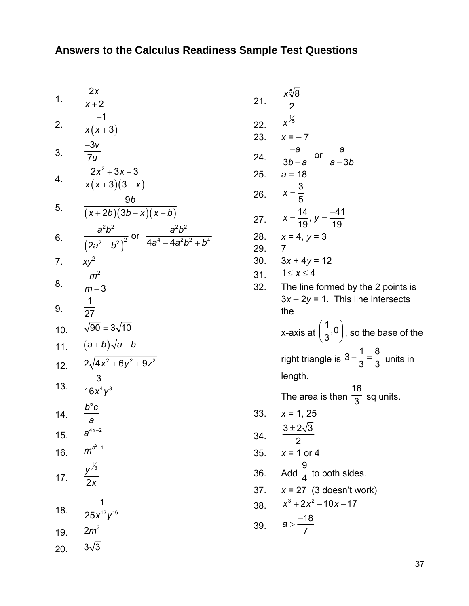1. 
$$
\frac{2x}{x+2}
$$
  
\n2.  $\frac{-1}{x(x+3)}$   
\n3.  $\frac{-3v}{7u}$   
\n4.  $\frac{2x^2+3x+3}{x(x+3)(3-x)}$   
\n5.  $\frac{9b}{(x+2b)(3b-x)(x-b)}$   
\n6.  $\frac{a^2b^2}{(2a^2-b^2)^2}$  or  $\frac{a^2b^2}{4a^4-4a^2b^2+b^4}$   
\n7.  $xy^2$   
\n8.  $\frac{m^2}{m-3}$   
\n9.  $\frac{1}{27}$   
\n10.  $\sqrt{90} = 3\sqrt{10}$   
\n11.  $(a+b)\sqrt{a-b}$   
\n12.  $2\sqrt{4x^2+6y^2+9z^2}$   
\n13.  $\frac{3}{16x^4y^3}$   
\n14.  $\frac{b^5c}{a}$   
\n15.  $a^{4x-2}$   
\n16.  $m^{b^2-1}$   
\n17.  $\frac{y^{1/3}}{2x}$   
\n18.  $\frac{1}{25x^{12}y^{16}}$   
\n19.  $2m^3$   
\n20.  $3\sqrt{3}$ 

| 21. | $\frac{x\sqrt[5]{8}}{2}$                                    |
|-----|-------------------------------------------------------------|
| 22. | $x^{\frac{1}{5}}$                                           |
| 23. | $x = -7$                                                    |
| 24. | $\frac{-a}{3b-a}$ or $\frac{a}{a-3b}$                       |
| 25. | <i>a</i> = 18                                               |
| 26. | $x = \frac{3}{5}$                                           |
| 27. | $x = \frac{14}{19}$ , $y = \frac{-41}{19}$                  |
| 28. | $x = 4, y = 3$                                              |
| 29. | 7                                                           |
| 30. | $3x + 4y = 12$                                              |
| 31. | $1 \leq x \leq 4$                                           |
| 32. | The line formed by the 2 points is                          |
|     | $3x - 2y = 1$ . This line intersects<br>the                 |
|     |                                                             |
|     | x-axis at $\left(\frac{1}{3},0\right)$ , so the base of the |
|     | right triangle is $3 - \frac{1}{3} = \frac{8}{3}$ units in  |
|     | length.                                                     |
|     | The area is then $\frac{16}{3}$ sq units.                   |
| 33. | $x = 1, 25$                                                 |
| 34. | $\frac{3 \pm 2\sqrt{3}}{2}$<br>$\overline{z}$               |
| 35. | $x = 1$ or 4                                                |
| 36. | Add $\frac{9}{4}$ to both sides.                            |
| 37. | $x = 27$ (3 doesn't work)                                   |
| 38. | $x^3 + 2x^2 - 10x - 17$                                     |
| 39. | $a > \frac{-18}{7}$                                         |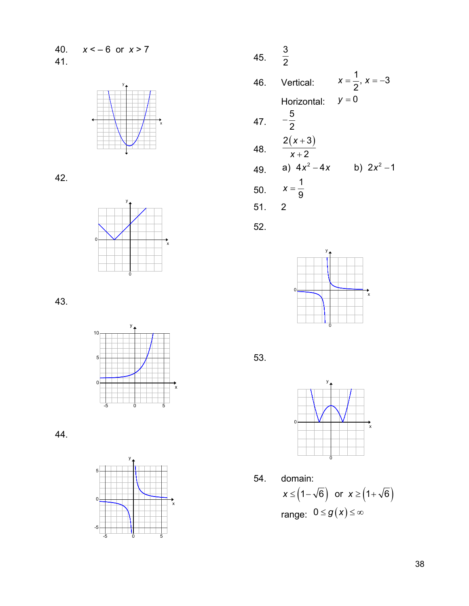40. *x* < – 6 or *x* > 7 41.



42.



43.



44.



45. 3 2 46. Vertical:  $x = \frac{1}{2}$ ,  $x = -3$ 2  $X = \frac{1}{2}$ ,  $X = -$ Horizontal:  $y = 0$ 47. 5 2 − 48.  $2(x+3)$ 2 *x x* + + 49. a)  $4x^2 - 4x$  b)  $2x^2 - 1$ 50. 1 9 *x* = 51. 2

52.



53.



54. domain:  $x \leq (1 - \sqrt{6})$  or  $x \geq (1 + \sqrt{6})$ range:  $0 \le g(x) \le \infty$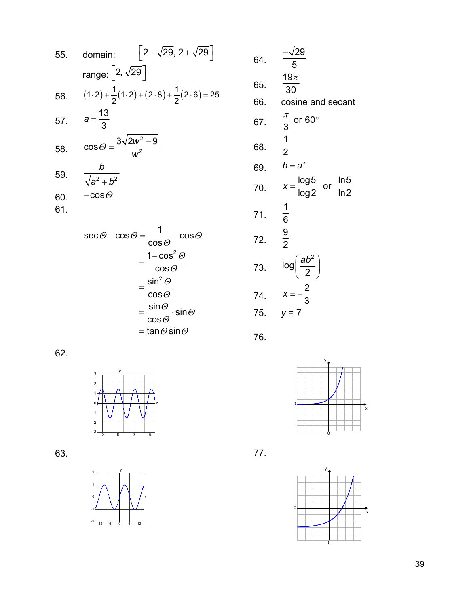55. domain: 
$$
[2-\sqrt{29}, 2+\sqrt{29}]
$$
  
\nrange:  $[2, \sqrt{29}]$   
\n56.  $(1\cdot 2) + \frac{1}{2}(1\cdot 2) + (2\cdot 8) + \frac{1}{2}(2\cdot 6) = 25$   
\n57.  $a = \frac{13}{3}$   
\n58.  $\cos \theta = \frac{3\sqrt{2w^2 - 9}}{w^2}$   
\n59.  $\frac{b}{\sqrt{a^2 + b^2}}$   
\n60.  $-\cos \theta$   
\n61.

$$
\sec \theta - \cos \theta = \frac{1}{\cos \theta} - \cos \theta
$$

$$
= \frac{1 - \cos^2 \theta}{\cos \theta}
$$

$$
= \frac{\sin^2 \theta}{\cos \theta}
$$

$$
= \frac{\sin \theta}{\cos \theta} \cdot \sin \theta
$$

$$
= \tan \theta \sin \theta
$$

62.



63.



| 64. | $\frac{-\sqrt{29}}{5}$                               |
|-----|------------------------------------------------------|
| 65. | 19 $\pi$<br>30                                       |
| 66. | cosine and secant                                    |
| 67. | $\frac{\pi}{3}$ or 60°                               |
| 68. | $\frac{1}{2}$                                        |
| 69. | $b = a^x$                                            |
| 70. | $x = \frac{\log 5}{\log 2}$ or $\frac{\ln 5}{\ln 2}$ |
| 71. | $\frac{1}{6}$                                        |
| 72. | $\frac{9}{2}$                                        |
| 73. | $log\left(\frac{ab^2}{2}\right)$                     |
| 74. | $x = -\frac{2}{3}$                                   |
| 75. |                                                      |
|     |                                                      |

76.



77.